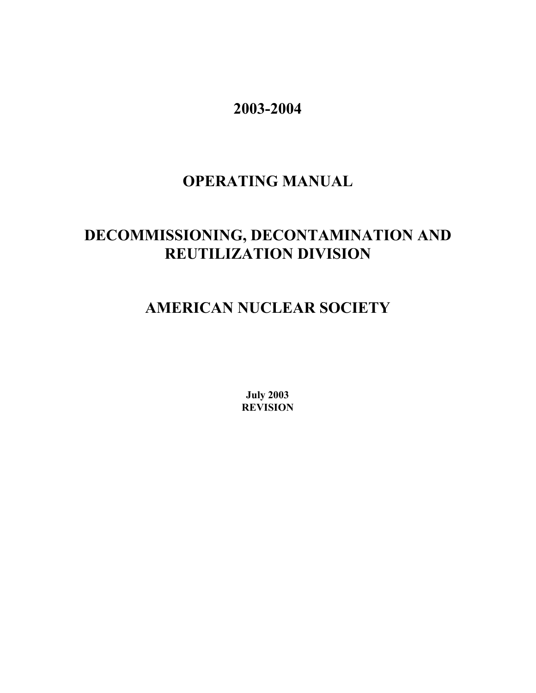**2003-2004**

# **OPERATING MANUAL**

# **DECOMMISSIONING, DECONTAMINATION AND REUTILIZATION DIVISION**

# **AMERICAN NUCLEAR SOCIETY**

**July 2003 REVISION**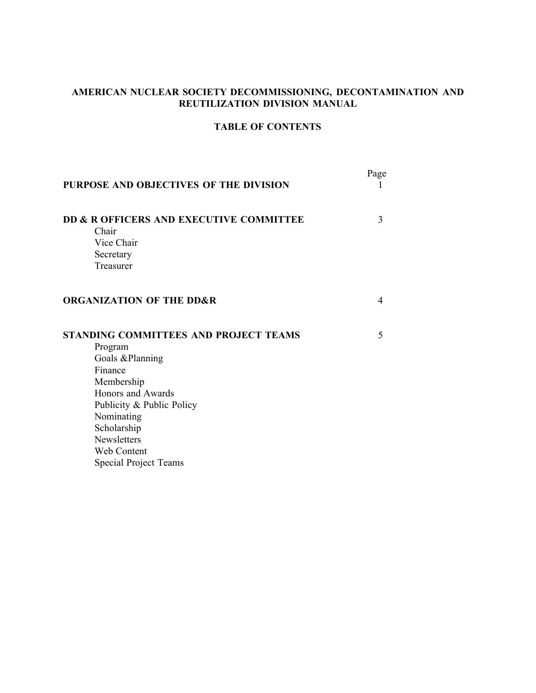# **AMERICAN NUCLEAR SOCIETY DECOMMISSIONING, DECONTAMINATION AND REUTILIZATION DIVISION MANUAL**

# **TABLE OF CONTENTS**

| PURPOSE AND OBJECTIVES OF THE DIVISION                                                                                                                                                                                                           | Page |
|--------------------------------------------------------------------------------------------------------------------------------------------------------------------------------------------------------------------------------------------------|------|
| DD & R OFFICERS AND EXECUTIVE COMMITTEE<br>Chair<br>Vice Chair<br>Secretary<br>Treasurer                                                                                                                                                         | 3    |
| <b>ORGANIZATION OF THE DD&amp;R</b>                                                                                                                                                                                                              | 4    |
| <b>STANDING COMMITTEES AND PROJECT TEAMS</b><br>Program<br>Goals &Planning<br>Finance<br>Membership<br>Honors and Awards<br>Publicity & Public Policy<br>Nominating<br>Scholarship<br>Newsletters<br>Web Content<br><b>Special Project Teams</b> | 5    |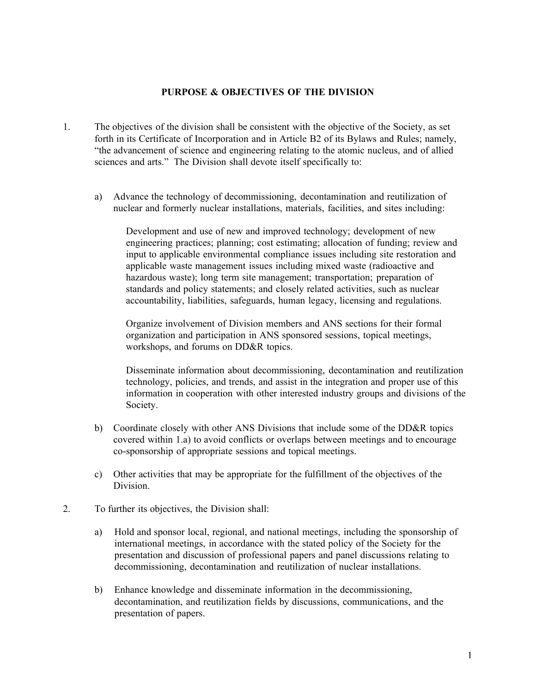#### **PURPOSE & OBJECTIVES OF THE DIVISION**

- 1. The objectives of the division shall be consistent with the objective of the Society, as set forth in its Certificate of Incorporation and in Article B2 of its Bylaws and Rules; namely, "the advancement of science and engineering relating to the atomic nucleus, and of allied sciences and arts." The Division shall devote itself specifically to:
	- a) Advance the technology of decommissioning, decontamination and reutilization of nuclear and formerly nuclear installations, materials, facilities, and sites including:

Development and use of new and improved technology; development of new engineering practices; planning; cost estimating; allocation of funding; review and input to applicable environmental compliance issues including site restoration and applicable waste management issues including mixed waste (radioactive and hazardous waste); long term site management; transportation; preparation of standards and policy statements; and closely related activities, such as nuclear accountability, liabilities, safeguards, human legacy, licensing and regulations.

Organize involvement of Division members and ANS sections for their formal organization and participation in ANS sponsored sessions, topical meetings, workshops, and forums on DD&R topics.

Disseminate information about decommissioning, decontamination and reutilization technology, policies, and trends, and assist in the integration and proper use of this information in cooperation with other interested industry groups and divisions of the Society.

- b) Coordinate closely with other ANS Divisions that include some of the DD&R topics covered within 1.a) to avoid conflicts or overlaps between meetings and to encourage co-sponsorship of appropriate sessions and topical meetings.
- c) Other activities that may be appropriate for the fulfillment of the objectives of the Division.
- 2. To further its objectives, the Division shall:
	- a) Hold and sponsor local, regional, and national meetings, including the sponsorship of international meetings, in accordance with the stated policy of the Society for the presentation and discussion of professional papers and panel discussions relating to decommissioning, decontamination and reutilization of nuclear installations.
	- b) Enhance knowledge and disseminate information in the decommissioning, decontamination, and reutilization fields by discussions, communications, and the presentation of papers.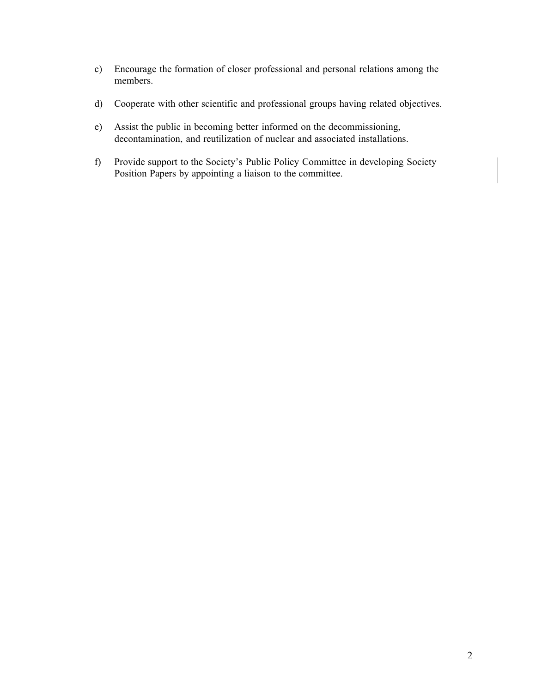- c) Encourage the formation of closer professional and personal relations among the members.
- d) Cooperate with other scientific and professional groups having related objectives.
- e) Assist the public in becoming better informed on the decommissioning, decontamination, and reutilization of nuclear and associated installations.
- f) Provide support to the Society's Public Policy Committee in developing Society Position Papers by appointing a liaison to the committee.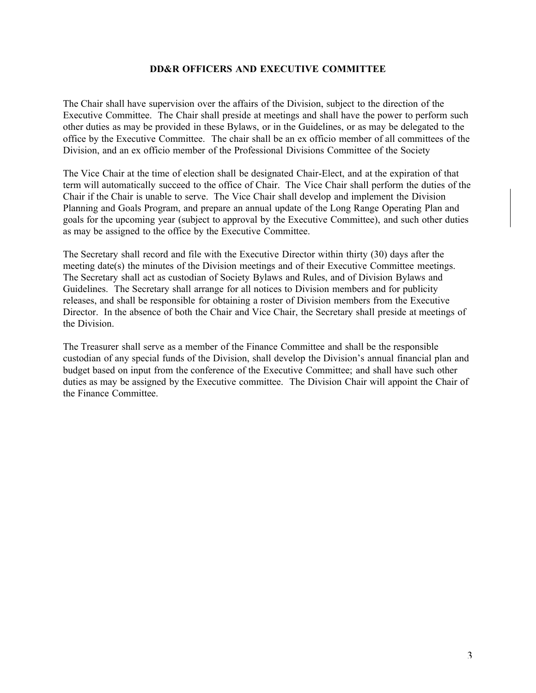## **DD&R OFFICERS AND EXECUTIVE COMMITTEE**

The Chair shall have supervision over the affairs of the Division, subject to the direction of the Executive Committee. The Chair shall preside at meetings and shall have the power to perform such other duties as may be provided in these Bylaws, or in the Guidelines, or as may be delegated to the office by the Executive Committee. The chair shall be an ex officio member of all committees of the Division, and an ex officio member of the Professional Divisions Committee of the Society

The Vice Chair at the time of election shall be designated Chair-Elect, and at the expiration of that term will automatically succeed to the office of Chair. The Vice Chair shall perform the duties of the Chair if the Chair is unable to serve. The Vice Chair shall develop and implement the Division Planning and Goals Program, and prepare an annual update of the Long Range Operating Plan and goals for the upcoming year (subject to approval by the Executive Committee), and such other duties as may be assigned to the office by the Executive Committee.

The Secretary shall record and file with the Executive Director within thirty (30) days after the meeting date(s) the minutes of the Division meetings and of their Executive Committee meetings. The Secretary shall act as custodian of Society Bylaws and Rules, and of Division Bylaws and Guidelines. The Secretary shall arrange for all notices to Division members and for publicity releases, and shall be responsible for obtaining a roster of Division members from the Executive Director. In the absence of both the Chair and Vice Chair, the Secretary shall preside at meetings of the Division.

The Treasurer shall serve as a member of the Finance Committee and shall be the responsible custodian of any special funds of the Division, shall develop the Division's annual financial plan and budget based on input from the conference of the Executive Committee; and shall have such other duties as may be assigned by the Executive committee. The Division Chair will appoint the Chair of the Finance Committee.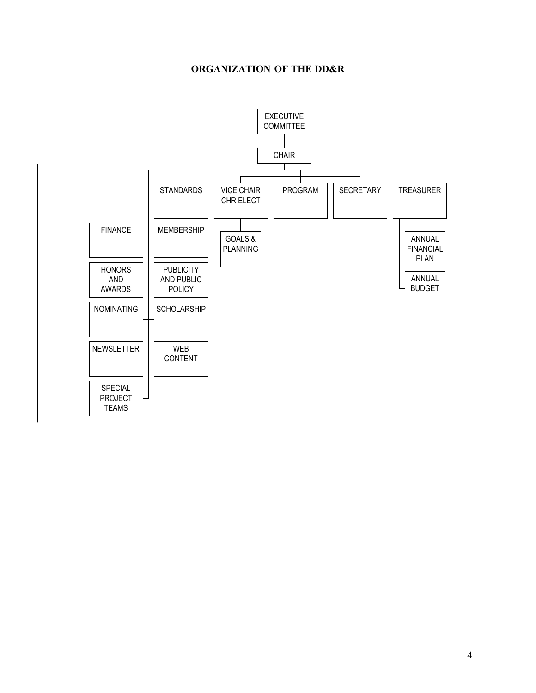# **ORGANIZATION OF THE DD&R**

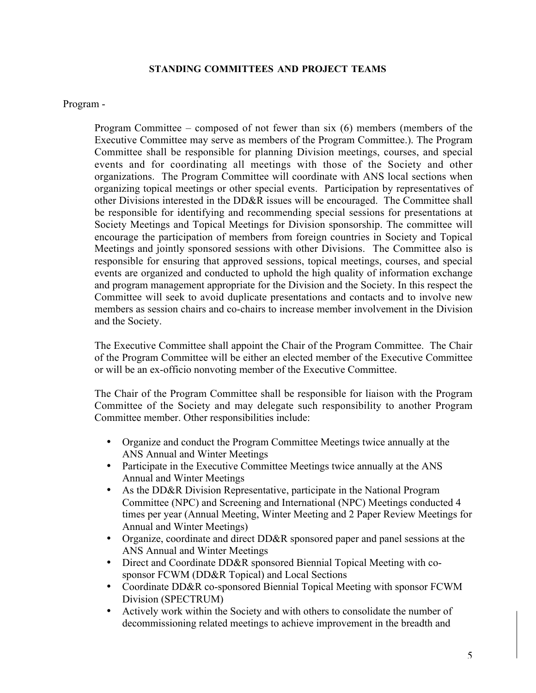# **STANDING COMMITTEES AND PROJECT TEAMS**

#### Program -

Program Committee – composed of not fewer than six (6) members (members of the Executive Committee may serve as members of the Program Committee.). The Program Committee shall be responsible for planning Division meetings, courses, and special events and for coordinating all meetings with those of the Society and other organizations. The Program Committee will coordinate with ANS local sections when organizing topical meetings or other special events. Participation by representatives of other Divisions interested in the DD&R issues will be encouraged. The Committee shall be responsible for identifying and recommending special sessions for presentations at Society Meetings and Topical Meetings for Division sponsorship. The committee will encourage the participation of members from foreign countries in Society and Topical Meetings and jointly sponsored sessions with other Divisions. The Committee also is responsible for ensuring that approved sessions, topical meetings, courses, and special events are organized and conducted to uphold the high quality of information exchange and program management appropriate for the Division and the Society. In this respect the Committee will seek to avoid duplicate presentations and contacts and to involve new members as session chairs and co-chairs to increase member involvement in the Division and the Society.

The Executive Committee shall appoint the Chair of the Program Committee. The Chair of the Program Committee will be either an elected member of the Executive Committee or will be an ex-officio nonvoting member of the Executive Committee.

The Chair of the Program Committee shall be responsible for liaison with the Program Committee of the Society and may delegate such responsibility to another Program Committee member. Other responsibilities include:

Organize and conduct the Program Committee Meetings twice annually at the ANS Annual and Winter Meetings Participate in the Executive Committee Meetings twice annually at the ANS Annual and Winter Meetings As the DD&R Division Representative, participate in the National Program Committee (NPC) and Screening and International (NPC) Meetings conducted 4 times per year (Annual Meeting, Winter Meeting and 2 Paper Review Meetings for Annual and Winter Meetings) Organize, coordinate and direct DD&R sponsored paper and panel sessions at the ANS Annual and Winter Meetings Direct and Coordinate DD&R sponsored Biennial Topical Meeting with cosponsor FCWM (DD&R Topical) and Local Sections Coordinate DD&R co-sponsored Biennial Topical Meeting with sponsor FCWM Division (SPECTRUM) Actively work within the Society and with others to consolidate the number of decommissioning related meetings to achieve improvement in the breadth and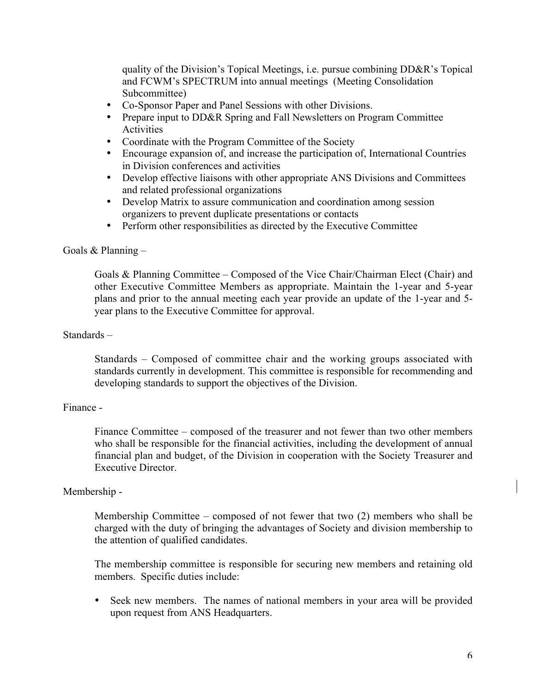quality of the Division's Topical Meetings, i.e. pursue combining DD&R's Topical and FCWM's SPECTRUM into annual meetings (Meeting Consolidation Subcommittee) Co-Sponsor Paper and Panel Sessions with other Divisions. Prepare input to DD&R Spring and Fall Newsletters on Program Committee **Activities** Coordinate with the Program Committee of the Society Encourage expansion of, and increase the participation of, International Countries in Division conferences and activities Develop effective liaisons with other appropriate ANS Divisions and Committees and related professional organizations Develop Matrix to assure communication and coordination among session organizers to prevent duplicate presentations or contacts Perform other responsibilities as directed by the Executive Committee

## Goals  $&$  Planning –

Goals & Planning Committee – Composed of the Vice Chair/Chairman Elect (Chair) and other Executive Committee Members as appropriate. Maintain the 1-year and 5-year plans and prior to the annual meeting each year provide an update of the 1-year and 5 year plans to the Executive Committee for approval.

## Standards –

Standards – Composed of committee chair and the working groups associated with standards currently in development. This committee is responsible for recommending and developing standards to support the objectives of the Division.

## Finance -

Finance Committee – composed of the treasurer and not fewer than two other members who shall be responsible for the financial activities, including the development of annual financial plan and budget, of the Division in cooperation with the Society Treasurer and Executive Director.

#### Membership -

Membership Committee – composed of not fewer that two (2) members who shall be charged with the duty of bringing the advantages of Society and division membership to the attention of qualified candidates.

The membership committee is responsible for securing new members and retaining old members. Specific duties include:

Seek new members. The names of national members in your area will be provided upon request from ANS Headquarters.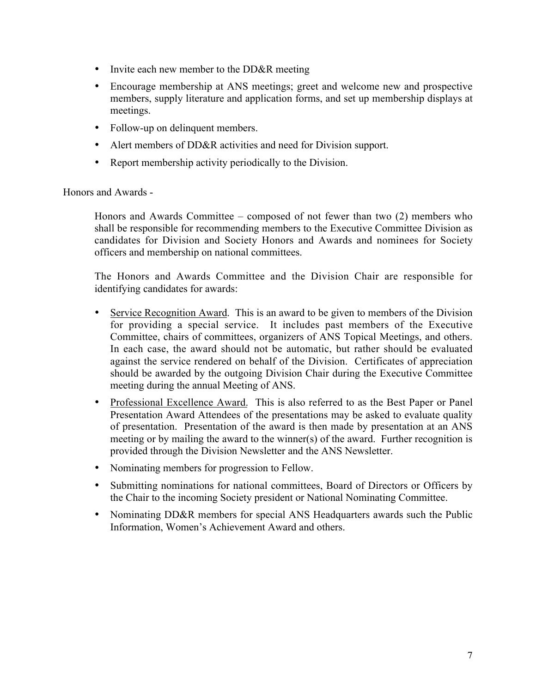Invite each new member to the DD&R meeting

Encourage membership at ANS meetings; greet and welcome new and prospective members, supply literature and application forms, and set up membership displays at meetings.

Follow-up on delinquent members.

Alert members of DD&R activities and need for Division support.

Report membership activity periodically to the Division.

Honors and Awards -

Honors and Awards Committee – composed of not fewer than two (2) members who shall be responsible for recommending members to the Executive Committee Division as candidates for Division and Society Honors and Awards and nominees for Society officers and membership on national committees.

The Honors and Awards Committee and the Division Chair are responsible for identifying candidates for awards:

Service Recognition Award. This is an award to be given to members of the Division for providing a special service. It includes past members of the Executive Committee, chairs of committees, organizers of ANS Topical Meetings, and others. In each case, the award should not be automatic, but rather should be evaluated against the service rendered on behalf of the Division. Certificates of appreciation should be awarded by the outgoing Division Chair during the Executive Committee meeting during the annual Meeting of ANS.

Professional Excellence Award. This is also referred to as the Best Paper or Panel Presentation Award Attendees of the presentations may be asked to evaluate quality of presentation. Presentation of the award is then made by presentation at an ANS meeting or by mailing the award to the winner(s) of the award. Further recognition is provided through the Division Newsletter and the ANS Newsletter.

Nominating members for progression to Fellow.

Submitting nominations for national committees, Board of Directors or Officers by the Chair to the incoming Society president or National Nominating Committee.

Nominating DD&R members for special ANS Headquarters awards such the Public Information, Women's Achievement Award and others.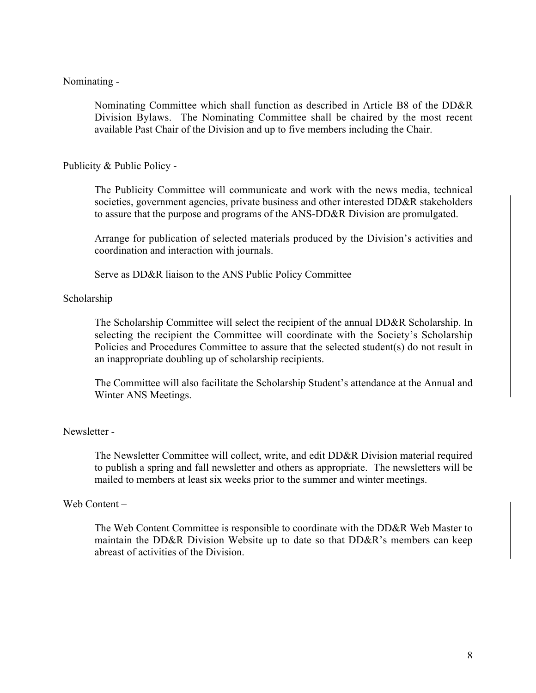# Nominating -

Nominating Committee which shall function as described in Article B8 of the DD&R Division Bylaws. The Nominating Committee shall be chaired by the most recent available Past Chair of the Division and up to five members including the Chair.

Publicity & Public Policy -

The Publicity Committee will communicate and work with the news media, technical societies, government agencies, private business and other interested DD&R stakeholders to assure that the purpose and programs of the ANS-DD&R Division are promulgated.

Arrange for publication of selected materials produced by the Division's activities and coordination and interaction with journals.

Serve as DD&R liaison to the ANS Public Policy Committee

## Scholarship

The Scholarship Committee will select the recipient of the annual DD&R Scholarship. In selecting the recipient the Committee will coordinate with the Society's Scholarship Policies and Procedures Committee to assure that the selected student(s) do not result in an inappropriate doubling up of scholarship recipients.

The Committee will also facilitate the Scholarship Student's attendance at the Annual and Winter ANS Meetings.

## Newsletter -

The Newsletter Committee will collect, write, and edit DD&R Division material required to publish a spring and fall newsletter and others as appropriate. The newsletters will be mailed to members at least six weeks prior to the summer and winter meetings.

## Web Content –

The Web Content Committee is responsible to coordinate with the DD&R Web Master to maintain the DD&R Division Website up to date so that DD&R's members can keep abreast of activities of the Division.